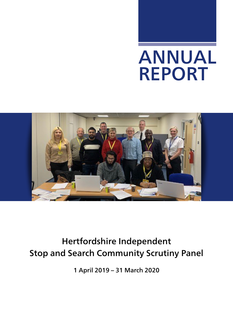# ANNUAL REPORT



# Hertfordshire Independent Stop and Search Community Scrutiny Panel

1 April 2019 – 31 March 2020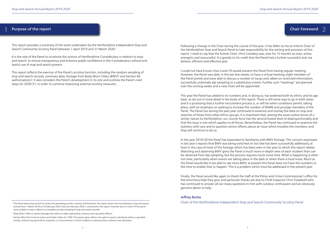#### Purpose of the report **1** Purpose of the report Chair Foreword 2

This report provides a summary of the work undertaken by the Hertfordshire Independent Stop and Search Community Scrutiny Panel between 1 April 2019 and 31 March 2020.1

It is the role of the Panel to scrutinise the actions of Hertfordshire Constabulary in relation to stop and search, to ensure transparency and enhance public confidence in the Constabulary's ethical and lawful use of stop and search powers.

This report reflects the exercise of the Panel's scrutiny function, including the random sampling of stop and search records, summary data, footage from Body-Worn Video (BWV)<sup>2</sup> and Section 60 authorisations<sup>3</sup>. It also considers the Panel's development in its role and outlines the Panel's next steps for 2020/21, in order to continue improving external scrutiny measures.

Following a change in the Chair during the course of the year, it has fallen to me as interim Chair of the Hertfordshire Stop and Search Panel to take responsibility for the writing and provision of this report. I need to say that the former Chair, Chris Cowdrey was, over his 15 months as chair, active, energetic and resourceful. It is greatly to his credit that the Panel had a further successful and, we believe, efficient and effective year.

I could not have known that Covid-19 would prevent the Panel from having regular meeting. However, the Panel was able, in the last few weeks, to have a virtual meeting; eight members of the Panel joined and were able to discuss a number of issues and, albeit on restricted information, successfully undertake dip sampling to a satisfactory extent. Further such "meetings" are planned over the coming weeks and a new Chair will be appointed.

This year the Panel has added to its numbers and, in doing so, has widened both its ethnic and its age base, as set out in more detail in the body of this report. There is still some way to go in both areas; and it is promising that a further recruitment process is, or will be when conditions permit, taking place, with an emphasis on seeking to increase the number of BAME and younger members of the Panel. The Panel has during the past year continued to examine and overlay the data on stop and searches of those from other ethnic groups. It is important that, among the seven police forces of a similar nature to Hertfordshire, our county force has the second lowest level of disproportionality and that the issue is one which applies to all forces. Nevertheless, the Panel has continued to examine the statistics with care and to question senior officers about an issue which troubles the members; and they will continue to do so.

In the year 2019/20 the Panel has expanded its familiarity with BWV footage. The concern expressed in last year's reports that BWV was being switched on too late has been successfully addressed, at least in the case of most of the footage which has been seen in the year to which this report relates. Watching and observing BWV gives the Panel a much more in-depth view of each incident than can be obtained from dip-sampling; but the process requires much more time. What is happening is often not clear, particularly when events are taking place in the dark or when there is loud noise. Much as the Panel would like to be able to see more BWV, at present the Panel does not have the numbers or the time to enable that to happen. This is a problem which must be addressed in the present year.

Finally, the Panel would like again to thank the staff at the Police and Crime Commissioner's office for the enormous help they give; and particular thanks are due to Chief Inspector Chris Treadwell who has continued to answer all our many questions to him with candour, enthusiasm and an obviously genuine desire to help.

#### Jeffrey Burke

<sup>1</sup> The Panel meet every month to review the preceding month's activity and therefore, this report covers the Constabulary's stop and search Chair of the Hertfordshire Independent Stop and Search Community Scrutiny Panel

<sup>&</sup>lt;sup>3</sup> Section 60 of the Criminal Justice and Public Order Act 1994. This power gives officers the right to search individuals within a specified locality, without any grounds for suspicion, in circumstances in which incidents involving serious violence may take place.

activity from 1 March 2019 to 29 February 2020. Data for February 2020 is contained in the report, however due to Covid-19 the panel were unable to meet in March to complete any dip sampling of stop and search records.

<sup>&</sup>lt;sup>2</sup> Body Worn Video is camera footage that refers to video captured by cameras worn by police officers.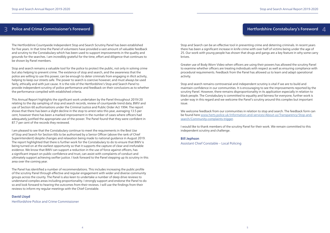# Hertfordshire Constabulary's Foreword 4

### Police and Crime Commissioner's Foreword

The Hertfordshire Countywide Independent Stop and Search Scrutiny Panel has been established for five years. In that time the Panel of volunteers have provided a vast amount of valuable feedback and scrutiny to the Constabulary which has been used to support improvements in the quality and grounds for the searches. I am incredibly grateful for the time, effort and diligence that continues to be shown by Panel members.

Stop and search remains a valuable tool for the police to protect the public, not only in solving crime but also helping to prevent crime. The existence of stop and search, and the awareness that the police are willing to use this power, can be enough to deter criminals from engaging in illicit activity, helping to keep our streets safe. The power to search is coercive however, and must always be used fairly, ethically and with just cause. It is the role of the Hertfordshire's Stop and Search Panel to provide independent scrutiny of police performance and feedback on their conclusions as to whether the performance compiled with established criteria.

This Annual Report highlights the significant work undertaken by the Panel throughout 2019/20 relating to the dip sampling of stop and search records, review of countywide trend data, BWV and use of Section 60 authorisations under the Criminal Justice and Public Order Act 1994. The report shows that there has been a slight decline in the stop to arrest ratio this year, averaging 13.5 per cent, however there has been a marked improvement in the number of cases where officers had adequately justified the appropriate use of the power. The Panel found that they were confident in 87.7 per cent of the records they reviewed.

I am pleased to see that the Constabulary continue to meet the requirements in the Best Use of Stop and Search for Section 60s to be authorised by a Senior Officer (above the rank of Chief Superintendent) despite changes and relaxation being made to national guidance in August 2019. The report highlighted that there is further work for the Constabulary to do to ensure that BWV is being turned on at the earliest opportunity so that it supports the capture of clear and irrefutable evidence. We know that BWV can support a reduction in the use of force against officers, has a significant impact on public confidence and trust, can assist with complaints of conduct and ultimately support achieving swifter justice. I look forward to the Panel stepping up its scrutiny in this area over the coming year.

The Panel has identified a number of recommendations. This includes increasing the public profile of the scrutiny Panel through effective and regular engagement with wider and diverse community groups across the county. The Panel is also keen to undertake a number of deep drive reviews to understand complex areas including proportionality. I strongly support and endorse the Panel to do so and look forward to hearing the outcomes from their reviews. I will use the findings from their reviews to inform my regular meetings with the Chief Constable.

#### David Lloyd

Hertfordshire Police and Crime Commissioner

Stop and Search can be an effective tool in preventing crime and deterring criminals. In recent years there has been a significant increase in knife crime with over half of victims being under the age of 25. Our work with young people has shown that drugs and gangs are a key feature in why some carry knives.

Greater use of Body Worn Video when officers are using their powers has allowed the scrutiny Panel to examine whether officers are treating individuals with respect as well as ensuring compliance with procedural requirements. Feedback from the Panel has allowed us to learn and adapt operational activity.

Stop and search remains controversial and independent scrutiny is vital if we are to build and maintain confidence in our communities. It is encouraging to see the improvements reported by the scrutiny Panel. However, there remains disproportionality in its application especially in relation to black people. The Constabulary is committed to equality and fairness for everyone, further work is under way in this regard and we welcome the Panel's scrutiny around this complex but important issue.

We welcome feedback from our communities in relation to stop and search. The feedback form can be found here [www.herts.police.uk/Information-and-services/About-us/Transparency/Stop-and](http://www.herts.police.uk/Information-and-services/About-us/Transparency/Stop-and-search/Community-complaints-trigger)[search/Community-complaints-trigger](http://www.herts.police.uk/Information-and-services/About-us/Transparency/Stop-and-search/Community-complaints-trigger).

I would like to thank members of the scrutiny Panel for their work. We remain committed to this independent scrutiny and challenge.

#### Bill Jephson

Assistant Chief Constable – Local Policing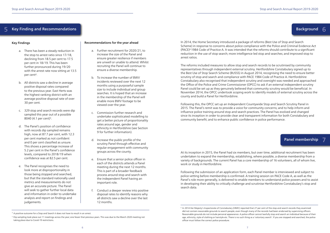# Background 6

- a. There has been a steady reduction in the stop to arrest ratio since 17/18, declining from 18.5 per cent to 17.5 per cent in 18/19. This has been further pronounced during 19/20 with the arrest rate now sitting at 13.5 per cent4.
- b. All districts saw a decline in average positive disposal rates compared to the previous year. East Herts was the highest ranking district with an average positive disposal rate of over 30 per cent.
- c. 329 stop and search records were dip sampled this year out of a possible 8040 (4.1 per cent)<sup>5</sup>.
- d. The Panel's position of confidence with records dip sampled remains high, now at 87.7 per cent, with 12.3 per cent marked as not confident and 0 per cent classified as unsure. This shows a percentage increase of 5.2 per cent in the Panel's confidence levels, compared to 2018/19 when confidence was at 82.5 per cent.
- e. The Panel recognises the need to look more at disproportionality in those being stopped and searched, but that the standard nationally used metrics and measurements do not give an accurate picture. The Panel will seek to gather further local data and information in order to undertake analysis and report on findings and judgements.

#### Key Findings

#### Key Finding and Recommendations 5

#### Recommendations for the year ahead

- a. Further recruitment for 2020/21, to increase the size of the Panel and ensure greater resilience if members are unwell or unable to attend. Whilst recruiting the Panel will continue to ensure a diverse membership.
- b. To increase the number of BWV incidents reviewed over the next 12 months using a purposeful sample size to include individual and group searches. It is hoped that an increase in the membership of the Panel will enable more BWV footage to be viewed over the year.
- c. Commission further research and undertake sophisticated modelling to get a better picture of proportionality rates around age, gender and ethnicity in Hertfordshire (see Section 9 for further information).
- d. Increase the public profile of the scrutiny Panel through effective and regular engagement with community groups across the county.
- e. Ensure that a senior police officer in each of the districts attends a Panel meeting during the next 12 months. This is part of a broader feedback process around stop and search with the independent Panel having an important role.
- f. Conduct a deeper review into positive disposal rates to identify reasons why all districts saw a decline over the last 12 months.

In 2014, the Home Secretary introduced a package of reforms (Best Use of Stop and Search Scheme) in response to concerns about police compliance with the Police and Criminal Evidence Act (PACE)6 1984 Code of Practice A. It was intended that the reforms should contribute to a significant reduction in the use of stop search; more intelligence led stop and searches; and improved stop to arrest ratios.

The reforms included measures to allow stop and search records to be scrutinised by community representatives through independent external scrutiny. Hertfordshire Constabulary signed up to the Best Use of Stop Search Scheme (BUSSS) in August 2014, recognising the need to ensure better scrutiny of stop and search and compliance with PACE 1984 Code of Practice A. Hertfordshire Constabulary also recognised that independent scrutiny and oversight was needed and approached the Office of the Police and Crime Commissioner (OPCC) to ask if an external independent scrutiny Panel could be set up as they genuinely believed that community scrutiny would be beneficial. In November 2014, the OPCC undertook scoping work to identify models of external scrutiny across the county and build a Panel for Hertfordshire.

7 7. Panel membership

Following this, the OPCC set up an Independent Countywide Stop and Search Scrutiny Panel in 2015. The Panel's remit was to provide a voice for community concerns; and to help inform and influence police training around stop and search practices. The Panel has evolved and changed since its inception in order to provide clear and transparent information for both Constabulary and community benefit; and to enhance public confidence in police performance.

At its inception in 2015, the Panel had six members, but over time, additional recruitment has been undertaken to expand the membership, establishing, where possible, a diverse membership from a variety of backgrounds. The current Panel has a core membership of 16 volunteers, all of whom live, work or study in Hertfordshire.

Following the submission of an application form, each Panel member is interviewed and subject to police vetting before membership is confirmed. A training session on PACE Code A, as well as the Panel's role more generally, is delivered to enable members to understand police powers and to assist in developing their ability to critically challenge and scrutinise Hertfordshire Constabulary's stop and search data.

<sup>&</sup>lt;sup>6</sup> In 2014 Her Majesty's Inspectorate of Constabulary (HMIC) reported that 27 per cent of the stop and search records they examined did not contain reasonable grounds to search people, even though many of the records had been endorsed by supervising officers. Reasonable grounds do not include personal appearance. A police officer cannot lawfully stop and search an individual because of their age, ethnicity, style of clothing or hairstyle etc. There is no such thing as a 'voluntary search'. If you are stopped and searched, the police officer must follow the correct police procedure.

<sup>&</sup>lt;sup>4</sup> A positive outcome for a Stop and Search it does not have to result in an arrest.

<sup>5</sup> Dip sampling took place out 11 meetings across the year; one fewer that previous years. This was due to the March 2020 meeting not taking place due to Covid-19 restrictions.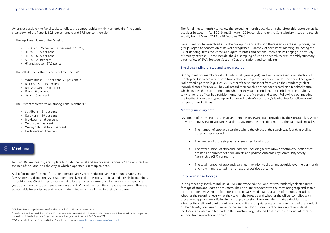Wherever possible, the Panel seeks to reflect the demographics within Hertfordshire. The gender breakdown of the Panel is 62.5 per cent male and 37.5 per cent female<sup>7</sup>.

- 18-30 18.75 per cent (0 per cent in 18/19)
- $31-40-12.5$  per cent
- $41 50 6.25$  per cent
- $50-60 25$  per cent
- $\bullet$  61 and above 37.5 per cent

The self-defined ethnicity of Panel members is<sup>8</sup>;

The age breakdown of the Panel is;

Terms of Reference (ToR) are in place to quide the Panel and are reviewed annually<sup>9</sup>. This ensures that the role of the Panel and the way in which it operates is kept up-to-date.

- White British 62 per cent (73 per cent in 18/19)
- Black British 13 per cent
- British Asian 13 per cent
- Black 6 per cent
- Asian 6 per cent

The District representation among Panel members is;

- St. Albans 31 per cent
- East Herts 19 per cent
- Broxbourne 6 per cent
- Watford 6 per cent
- Welwyn Hatfield 25 per cent
- Hertsmere 13 per cent

#### Meetings 8

A Chief Inspector from Hertfordshire Constabulary's Crime Reduction and Community Safety Unit (CRCS) attends all meetings so that operationally specific questions can be asked directly by members. In addition, the Chief Inspectors of each district are invited to attend a minimum of one meeting a year, during which stop and search records and BWV footage from their areas are reviewed. They are accountable for any issues and concerns identified which are linked to their district area.

The Panel meets monthly to review the preceding month's activity and therefore, this report covers its activities between 1 April 2019 and 31 March 2020, correlating to the Constabulary's stop and search activity from 1 March 2019 to 28 February 2020.

Panel meetings have evolved since their inception and although there is an established process, the group is open to adaptation as its work progresses. Currently, at each Panel meeting, following the usual standing items (welcome, apologies, minutes and actions), members will engage in a variety of scrutiny exercises. These include; the dip-sampling of stop and search records, monthly summary data, review of BWV footage, Section 60 authorisations and complaints.

#### The dip-sampling of stop and search records

During meetings members will split into small groups (2-4), and will review a random selection of the stop and searches which have taken place in the preceding month in Hertfordshire. Each group is allocated a portion (e.g. 1-25, 26-50 etc) of the spreadsheet from which they randomly select individual cases for review. They will record their conclusions for each record on a feedback form, which enables them to comment on whether they were confident, not confident or in doubt as to whether the officer had sufficient grounds to justify a stop and search. Following each meeting, the feedback forms are typed up and provided to the Constabulary's lead officer for follow-up with supervisors and officers.

#### Monthly summary data

A segment of the meeting also involves members reviewing data provided by the Constabulary which provides an overview of stop and search activity from the preceding month. The data pack includes:

• The number of stop and searches where the object of the search was found, as well as

• The total number of stop and searches (including a breakdown of ethnicity, both officer defined and subject defined), arrests and positive outcomes by Community Safety

- other property found.
- The gender of those stopped and searched for all stops.
- Partnership (CSP) per month.
- and how many resulted in an arrest or a positive outcome.

• The total number of stop and searches in relation to drugs and acquisitive crime per month

#### Body worn video footage

During meetings in which individual CSPs are reviewed, the Panel review randomly selected BWV footage of stop and search encounters. The Panel are provided with the correlating stop and search record, before reviewing the footage. Each clip is assessed against a series of prompts, including whether the record reflects what they saw in the footage and whether the officer complied with procedures appropriately. Following a group discussion, Panel members make a decision as to whether they felt confident or not confident in the appropriateness of the search and of the conduct of the officer(s) concerned. Similar to the feedback forms from the dip-sampling of records, all feedback is collated and fed back to the Constabulary, to be addressed with individual officers to support training and development.

<sup>&</sup>lt;sup>8</sup> Hertfordshire ethnic breakdown: White 87.6 per cent, Asian/Asian British 6.5 per cent, Black/African/Caribbean/Black British 2.8 per cent, Mixed/multiple ethnic groups 2.5 per cent, other ethnic groups 0.6 per cent; ONS Census 2011.

<sup>&</sup>lt;sup>7</sup> Of the estimated population of Hertfordshire at mid-2018, 49 per cent were male.

<sup>9</sup> ToR are available on the Police and Crime Commissioner's website: [www.hertscommissioner.org/stopsearch](http://www.hertscommissioner.org/stopsearch)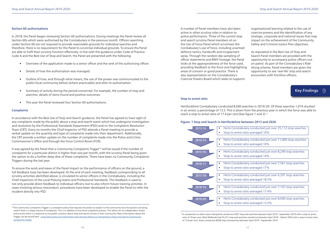#### Section 60 authorisations

In 2018, the Panel began reviewing Section 60 authorisations. During meetings the Panel review all Section 60s which were authorised by the Constabulary in the previous month. Officers searching under Section 60 are not required to provide reasonable grounds for individual searches and therefore, there is no requirement for the Panel to scrutinise individual grounds. To ensure the Panel are able to fulfil their scrutiny function effectively, in line with the guidance under Code of Practice Code A and the Best Use of Stop and Search, the Panel are presented with the following:

- Overview of the application made to a senior officer and the rank of the authorising officer.
- Details of how the authorisation was managed.
- Outline of how, and through what means, the use of the power was communicated to the public/local community before (where practicable) and after its authorisation.
- Summary of activity during the period concerned. For example, the number of stop and searches, details of items found and positive outcomes.
- This year the Panel reviewed four Section 60 authorisations.

#### **Complaints**

It was agreed by the Panel that a Community Complaints Trigger<sup>10</sup> will be issued if the number of complaints for a particular district is higher than one per month, with the scrutiny Panel being given the option to do a further deep dive of these complaints. There have been no Community Complaints Triggers during the last year.

In accordance with the Best Use of Stop and Search guidance, the Panel has agreed to have sight of any complaints made by the public about a stop and search event which has undergone investigation and resolution by the Professional Standards Department (PSD) and/or the Complaints Resolution Team (CRT). Every six months the Chief Inspector of PSD attends a Panel meeting to provide a verbal update on the quantity and type of complaints made into their department. Additionally, the CRT provide a written update on the number of complaints made into the Police and Crime Commissioner's Office and through the Force Control Room (FCR).

To ensure the work and views of the Panel impact on the performance of officers on the ground, a full feedback loop has been developed. At the end of each meeting, feedback corresponding to all scrutiny activities identified above, is circulated to senior officers in the Constabulary, including the Chief Inspectors of the Local Policing teams and Professional Standards. This feedback is used to not only provide direct feedback to individual officers, but to also inform future training activities. In cases involving serious misconduct, procedures have been developed to enable the Panel to refer the incident directly into PSD.

Hertfordshire Constabulary conducted 8,040 searches in 2019/20. Of these searches 1,074 resulted in an arrest, a percentage of 13.5. This is down from the previous year in which the force was able to reach a stop to arrest ratio of 17.4 per cent (See figure 1 and 2).<sup>11</sup>

A number of Panel members have also been active in other scrutiny roles in relation to police performance. Three of the current stop and search scrutiny Panel members sit on the Use of Force Panel which scrutinises the Constabulary's use of force, including unarmed defence tactics, handcuffs and incapacitant spray. Through the random dip-sampling of officer statements and BWV footage, the Panel looks at the appropriateness of the force used, providing feedback to the force and highlighting areas of concern or good practice. There is also representation on the Constabulary's Coercive Powers Board which seeks to supports

organisational learning related to the use of coercive powers and the identification of any strategic, corporate and national issues that may impact on the achievement of the Community Safety and Criminal Justice Plan objectives.

As stipulated in the Best Use of Stop and Search Panel members are provided with the opportunity to accompany police officers out on patrol. As part of the Constabulary's Ride Along scheme, Panel members are given the opportunity to see 'real-life' stop and search encounters with frontline officers.

11In comparison to other areas: Hampshire carried out 4307 stop and searches between April 2019 - September 2019 with a stop to arrest ratio of 18 per cent, West Midlands had 25,221 stop and searches carried out between April 2019 – March 2020 with a stop to arrest ratio of 13.6 per cent. Essex carried out 8508 stop and searches between April 2019 - September 2019.

• Herts Constabulary conducted just over 25,112 stop searches

• Herts Constabulary conducted just over 11,400 stop searches

• Herts Constabulary conducted just over 8,249 stop searches





• Herts Constabulary conducted just over 7,561 stop searches

• Herts Constabulary conducted just over 6,291 stop searches

• Herts Constabulary conducted just over 7,103 stop searches

• Herts Constabulary conducted just over 8,040 stop searches

#### Stop to arrest ratio

#### Figure. 1 Stop and Search in Hertfordshire between 2013 and 2020

<sup>&</sup>lt;sup>10</sup>The Community Complaints Trigger is a complaint policy that requires the police to explain to the community how the powers are being used if there is a large volume of complaints. This is in addition to the force complaints process. This allows for an independent review and ensures there is a response to any public concerns about stop and search activity in their community. More information about the Trigger can be found here - [www.herts.police.uk/Information-and-services/About-us/Transparency/Stop-and-search/Community](http://www.herts.police.uk/Information-and-services/About-us/Transparency/Stop-and-search/Community-complaints-trigger)[complaints-trigger](http://www.herts.police.uk/Information-and-services/About-us/Transparency/Stop-and-search/Community-complaints-trigger)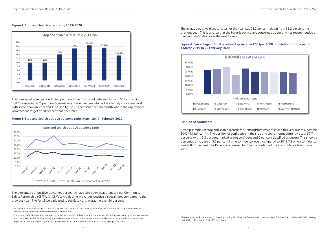#### Figure 2: Stop and Search arrest ratio, 2013- 2020

The number of searches conducted per month has fluctuated between a low of 523 and a high of 875, averaging 670 per month. Arrest rates have been maintained at a largely consistent level, with some peaks in April and June (see figure 3). There has been no month where the aspirational Government target of 20 per cent has been met 12.

#### Figure 3: Stop and Search positive outcome ratio, March 2019 - February 2020

The percentage of positive outcomes per search have also been disaggregated per Community Safety Partnership (CSP)13. All CSP's saw a decline in average positive disposal rates compared to the previous year. The Panel were pleased to see East Herts averaging over 30 per cent.

<sup>12</sup>Positive outcomes, include arrests, as well as out of court disposals, such as Drug Warnings or Cautions, which negate the need for individuals to be formally processed through custody suites.

The average positive disposal rates for the year was 26.2 per cent, down from 31.2 per cent the previous year. This is an area that the Panel is particularly concerned about and has recommended a deeper investigation over the next 12 months.

<sup>13</sup>Community Safety Partnerships were set up under Sections 5-7 of the Crime and Disorder Act 1998. They are made up of representatives from the police, health, local authority, fire and rescue service and probation services and are known as 'responsible authorities'. The responsible authorities work together to protect their local communities from crime and to help people feel safer.

#### Figure 4: Percentage of total positive disposals per CSP (per 1000 population) for the period 1 March 2019 to 29 February 2020.

#### Position of confidence

329 dip samples of stop and search records for Hertfordshire were assessed this year out of a possible 8040 (4.1 per cent)<sup>14</sup>. The position of confidence in the stop and search forms currently sits at 87.7 per cent, with 12.3 per cent marked as not confident and 0 per cent classified as unsure. This shows a percentage increase of 5.2 per cent in the confidence levels, compared to 2018/19 when confidence was at 82.5 per cent. The Panel were pleased to note the continued rise in confidence levels since 2017.







<sup>&</sup>lt;sup>14</sup>Dip sampling took place across 11 meetings during 2019/20; one fewer than in previous years. This was due to the March 2020 meeting not taking place due to Covid-19 restrictions.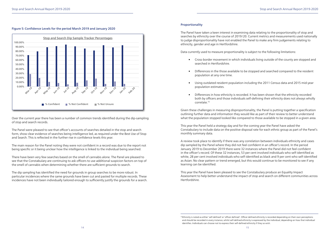#### Figure 5: Confidence Levels for the period March 2019 and January 2020

Over the current year there has been a number of common trends identified during the dip-sampling of stop and search records.

The Panel were pleased to see that officer's accounts of searches detailed in the stop and search form, show clear evidence of searches being intelligence led, as required under the Best Use of Stop and Search. This is reflected in the further rise in confidence levels this year.

The main reason for the Panel noting they were not confident in a record was due to the report not being specific or it being unclear how the intelligence is linked to the individual being searched.

There have been very few searches based on the smell of cannabis alone. The Panel are pleased to see that the Constabulary are continuing to ask officers to use additional suspicion factors on top of the smell of cannabis when determining whether there are sufficient grounds to search.

The dip sampling has identified the need for grounds in group searches to be more robust. In particular incidences where the same grounds have been cut and pasted for multiple records. These incidences have not been individually tailored enough to sufficiently justify the grounds for a search.



#### Proportionality

The Panel have taken a keen interest in examining data relating to the proportionality of stop and searches by ethnicity over the course of 2019/20. Current metrics and measurements used nationally to judge disproportionality have not enabled the Panel to make any firm judgements relating to ethnicity, gender and age in Hertfordshire.

Data currently used to measure proportionality is subject to the following limitations:

• Cross-border movement in which individuals living outside of the county are stopped and

• Differences in the those available to be stopped and searched compared to the resident

• Using outdated resident population including the 2011 Census data and 2015 mid-year

- searched in Hertfordshire.
- population at any one time.
- population estimates.
- correlate.15

• Differences in how ethnicity is recorded. It has been shown that the ethnicity recorded both by officers and those individuals self-defining their ethnicity does not always wholly

Given these challenges in measuring disproportionality, the Panel is putting together a specification outlining further data and information they would like as part of their review to better understand what the population stopped looked like compared to those available to be stopped in a given area.

This year the Panel held a strategy day and for the coming year the Panel have asked the Constabulary to include data on the positive disposal rate for each ethnic group as part of the Panel's monthly summary data.

A review took place to identify if there was any correlation between individuals ethnicity and cases dip sampled by the Panel where they did not feel confident in an officer's record. In the period January 2019 to December 2019 there were 32 instances where the Panel did not feel confident in the officer's record. Of these 32 instances, 53 per cent involved individuals who self-identified as white, 28 per cent involved individuals who self-identified as black and 9 per cent who self-identified as Asian. No clear pattern or trend emerged, but this would continue to be monitored to see if any learning can be identified.

This year the Panel have been pleased to see the Constabulary produce an Equality Impact Assessment to help better understand the impact of stop and search on different communities across Hertfordshire.

<sup>&</sup>lt;sup>15</sup> Ethnicity is noted as either 'self-defined' or 'officer defined'. Officer defined ethnicity is recorded depending on their own perceptions and should be recorded in every instance, whilst self-defined ethnicity is expressed by the individual, depending on how that individual identifies. Individuals can choose not to express their self-defined ethnicity if they so wish.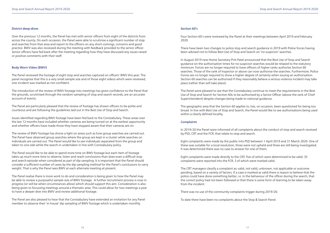#### District deep-dives

Over the previous 12 months, the Panel has met with senior officers from eight of the districts from across the county. On each occasion, the Panel were able to scrutinise a significant number of stop and searches from that area and report to the officers on any short-comings, concerns and good practice. BWV was also reviewed during the meeting with feedback provided to the senior officer. Senior officers have fed back after the meeting regarding how they have discussed any issues raised or positive comments with their staff.

#### Body Worn Video (BWV)

The Panel reviewed the footage of eight stop and searches captured on officers' BWV this year. The panel recognise that this is a very small sample size and of those eight videos which were reviewed, one incident was marked as not-confident.

The introduction of the review of BWV footage into meetings has given confidence to the Panel that the grounds, scrutinised through the random-sampling of stop and search records, are an accurate account of events.

The Panel are particularly pleased that the review of footage has shown officers to be polite and courteous and are following the guidelines laid out in the Best Use of Stop and Search.

Issues identified regarding BWV footage have been fed back to the Constabulary. These areas over the last 12 months have included whether cameras are being turned on at the earliest opportunity and whether officers have made those they have stopped aware that their cameras are on.

The review of BWV footage has shone a light on areas such as how group searches are carried out. The Panel have observed group searches where the group are kept in a cluster while searches on individuals are carried out. The Panel would like to see individuals separated from the group and taken to one side while the search in undertaken in line with Constabulary policy.

The Panel would like to be able to spend more time on BWV footage but each item of footage takes up much more time to observe, listen and reach conclusions than does even a difficult stop and search episode when considered as part of dip sampling. It is important that the Panel should consider a sufficient number of cases by the dip sampling method for the Panel's conclusions to carry weight. That is why the Panel sees BWV at each alternate meeting at present.

The Panel realise there is more work to do and consideration is being given to how the Panel may be able to review a purposeful sample size of BWV footage. A further recruitment process is now in progress (or will be when circumstances allow) which should support this aim. Consideration is also being given to focussing meetings around a thematic area. This could allow for two meetings a year to have a deeper dive into BWV and review additional footage.

The Panel are also pleased to hear that the Constabulary have extended an invitation for any Panel member to observe their 'in house' dip sampling of BWV footage which is undertaken monthly.

#### Section 60's

Four Section 60's were reviewed by the Panel at their meetings between April 2019 and February 2020.

There have been two changes to police stop and search guidance in 2019 with Police forces having been advised not to follow Best Use of Stop and Search on 'no suspicion' searches.

In August 2019 new Home Secretary Priti Patel announced that the Best Use of Stop and Search guidance on the authorisation times for no suspicion searches would be relaxed to the statutory minimum. Forces are no longer required to have officers of higher ranks authorise Section 60 searches. Those of the rank of Inspector or above can now authorise the searches. Furthermore, Police Forces are no longer required to show a higher degree of certainty when issuing an authorisation. Section 60 searches can be authorised if they reasonably believe a serious violence incident may take place (rather than will take place).

The Panel were pleased to see that the Constabulary continue to meet the requirements in the Best Use of Stop and Search for Section 60s to be authorised by a Senior Officer (above the rank of Chief Superintendent) despite changes being made to national guidance.

The geographic area that the Section 60 applies to, has, on occasion, been questioned for being too broad. In line with Best Use of Stop and Search, the Panel would like to see authorisations being used within a clearly defined locality.

#### **Complaints**

In 2019/20 the Panel were informed of all complaints about the conduct of stop and search received by PSD, CRT and the FCR, that relate to stop and search.

Eight complaints were made by the public into PSD between 1 April 2019 and 31 March 2020. One of these was suitable for a local resolution, three were not upheld and three are still being investigated. It was determined there was no case to answer for one of them.

Eight complaints were made directly to the CRT, five of which were determined to be valid. 35 complaints were reported into the FCR, 3 of which were marked valid.

The CRT managers classify a complaint as; valid, not valid, unknown, not applicable or outcome pending, based on a variety of factors. If a case is marked as valid there is reason to believe that the police could have done something better, i.e. in the behaviour of the officer during the search, that the correct policy had not been followed or that there is some form of learning to be taken away from the incident.

There was no use of the community complaints trigger during 2019/20.

To date there have been no complaints about the Stop & Search Panel.